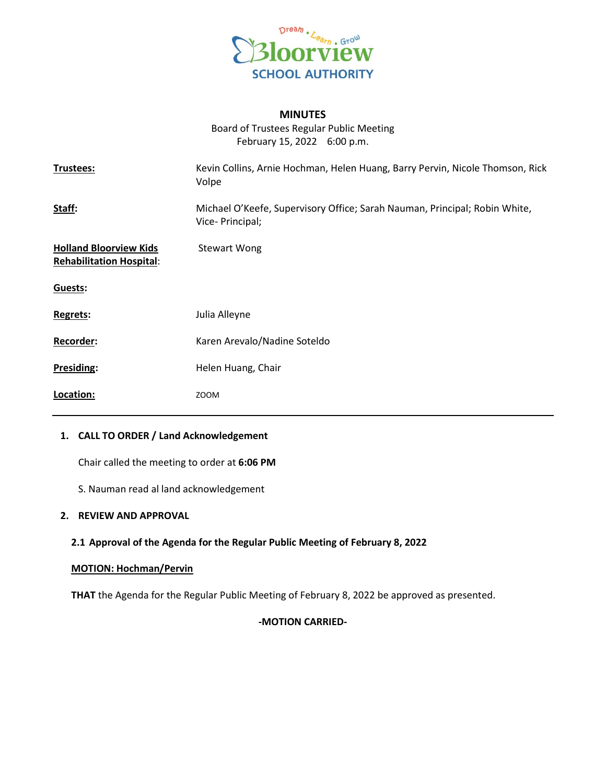

# **MINUTES**

Board of Trustees Regular Public Meeting February 15, 2022 6:00 p.m.

| Trustees:                                                        | Kevin Collins, Arnie Hochman, Helen Huang, Barry Pervin, Nicole Thomson, Rick<br>Volpe         |
|------------------------------------------------------------------|------------------------------------------------------------------------------------------------|
| Staff:                                                           | Michael O'Keefe, Supervisory Office; Sarah Nauman, Principal; Robin White,<br>Vice- Principal; |
| <b>Holland Bloorview Kids</b><br><b>Rehabilitation Hospital:</b> | <b>Stewart Wong</b>                                                                            |
| Guests:                                                          |                                                                                                |
| <b>Regrets:</b>                                                  | Julia Alleyne                                                                                  |
| Recorder:                                                        | Karen Arevalo/Nadine Soteldo                                                                   |
| Presiding:                                                       | Helen Huang, Chair                                                                             |
| Location:                                                        | ZOOM                                                                                           |

### **1. CALL TO ORDER / Land Acknowledgement**

Chair called the meeting to order at **6:06 PM**

S. Nauman read al land acknowledgement

#### **2. REVIEW AND APPROVAL**

### **2.1 Approval of the Agenda for the Regular Public Meeting of February 8, 2022**

### **MOTION: Hochman/Pervin**

**THAT** the Agenda for the Regular Public Meeting of February 8, 2022 be approved as presented.

#### **-MOTION CARRIED-**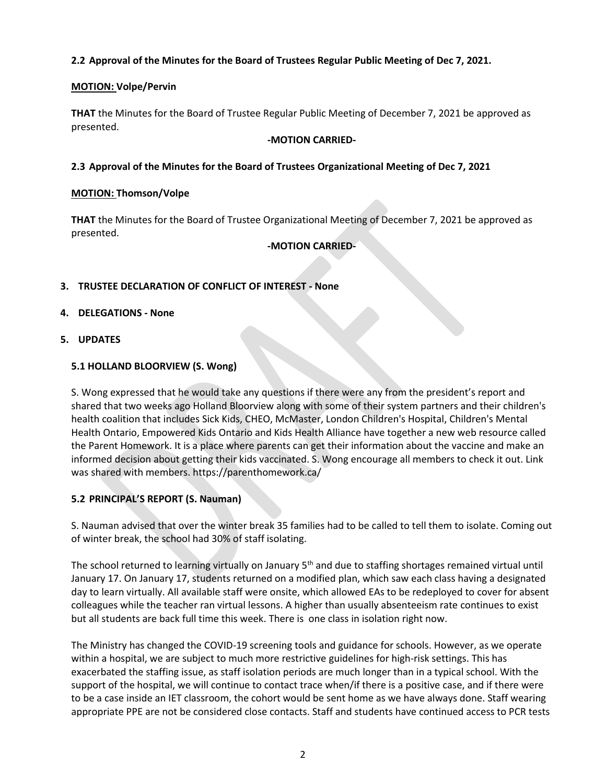# **2.2 Approval of the Minutes for the Board of Trustees Regular Public Meeting of Dec 7, 2021.**

### **MOTION: Volpe/Pervin**

**THAT** the Minutes for the Board of Trustee Regular Public Meeting of December 7, 2021 be approved as presented.

#### **-MOTION CARRIED-**

### **2.3 Approval of the Minutes for the Board of Trustees Organizational Meeting of Dec 7, 2021**

#### **MOTION: Thomson/Volpe**

**THAT** the Minutes for the Board of Trustee Organizational Meeting of December 7, 2021 be approved as presented.

### **-MOTION CARRIED-**

### **3. TRUSTEE DECLARATION OF CONFLICT OF INTEREST - None**

### **4. DELEGATIONS - None**

**5. UPDATES**

### **5.1 HOLLAND BLOORVIEW (S. Wong)**

S. Wong expressed that he would take any questions if there were any from the president's report and shared that two weeks ago Holland Bloorview along with some of their system partners and their children's health coalition that includes Sick Kids, CHEO, McMaster, London Children's Hospital, Children's Mental Health Ontario, Empowered Kids Ontario and Kids Health Alliance have together a new web resource called the Parent Homework. It is a place where parents can get their information about the vaccine and make an informed decision about getting their kids vaccinated. S. Wong encourage all members to check it out. Link was shared with members. https://parenthomework.ca/

### **5.2 PRINCIPAL'S REPORT (S. Nauman)**

S. Nauman advised that over the winter break 35 families had to be called to tell them to isolate. Coming out of winter break, the school had 30% of staff isolating.

The school returned to learning virtually on January 5<sup>th</sup> and due to staffing shortages remained virtual until January 17. On January 17, students returned on a modified plan, which saw each class having a designated day to learn virtually. All available staff were onsite, which allowed EAs to be redeployed to cover for absent colleagues while the teacher ran virtual lessons. A higher than usually absenteeism rate continues to exist but all students are back full time this week. There is one class in isolation right now.

The Ministry has changed the COVID-19 screening tools and guidance for schools. However, as we operate within a hospital, we are subject to much more restrictive guidelines for high-risk settings. This has exacerbated the staffing issue, as staff isolation periods are much longer than in a typical school. With the support of the hospital, we will continue to contact trace when/if there is a positive case, and if there were to be a case inside an IET classroom, the cohort would be sent home as we have always done. Staff wearing appropriate PPE are not be considered close contacts. Staff and students have continued access to PCR tests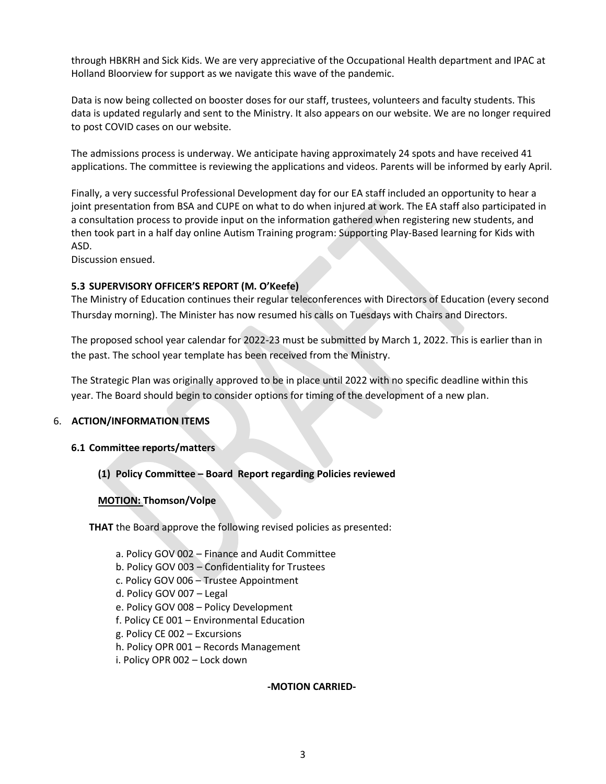through HBKRH and Sick Kids. We are very appreciative of the Occupational Health department and IPAC at Holland Bloorview for support as we navigate this wave of the pandemic.

Data is now being collected on booster doses for our staff, trustees, volunteers and faculty students. This data is updated regularly and sent to the Ministry. It also appears on our website. We are no longer required to post COVID cases on our website.

The admissions process is underway. We anticipate having approximately 24 spots and have received 41 applications. The committee is reviewing the applications and videos. Parents will be informed by early April.

Finally, a very successful Professional Development day for our EA staff included an opportunity to hear a joint presentation from BSA and CUPE on what to do when injured at work. The EA staff also participated in a consultation process to provide input on the information gathered when registering new students, and then took part in a half day online Autism Training program: Supporting Play-Based learning for Kids with ASD.

Discussion ensued.

### **5.3 SUPERVISORY OFFICER'S REPORT (M. O'Keefe)**

The Ministry of Education continues their regular teleconferences with Directors of Education (every second Thursday morning). The Minister has now resumed his calls on Tuesdays with Chairs and Directors.

The proposed school year calendar for 2022-23 must be submitted by March 1, 2022. This is earlier than in the past. The school year template has been received from the Ministry.

The Strategic Plan was originally approved to be in place until 2022 with no specific deadline within this year. The Board should begin to consider options for timing of the development of a new plan.

### 6. **ACTION/INFORMATION ITEMS**

#### **6.1 Committee reports/matters**

**(1) Policy Committee – Board Report regarding Policies reviewed**

#### **MOTION: Thomson/Volpe**

**THAT** the Board approve the following revised policies as presented:

- a. Policy GOV 002 Finance and Audit Committee b. Policy GOV 003 – Confidentiality for Trustees c. Policy GOV 006 – Trustee Appointment d. Policy GOV 007 – Legal e. Policy GOV 008 – Policy Development f. Policy CE 001 – Environmental Education
- g. Policy CE 002 Excursions
- h. Policy OPR 001 Records Management
- i. Policy OPR 002 Lock down

#### **-MOTION CARRIED-**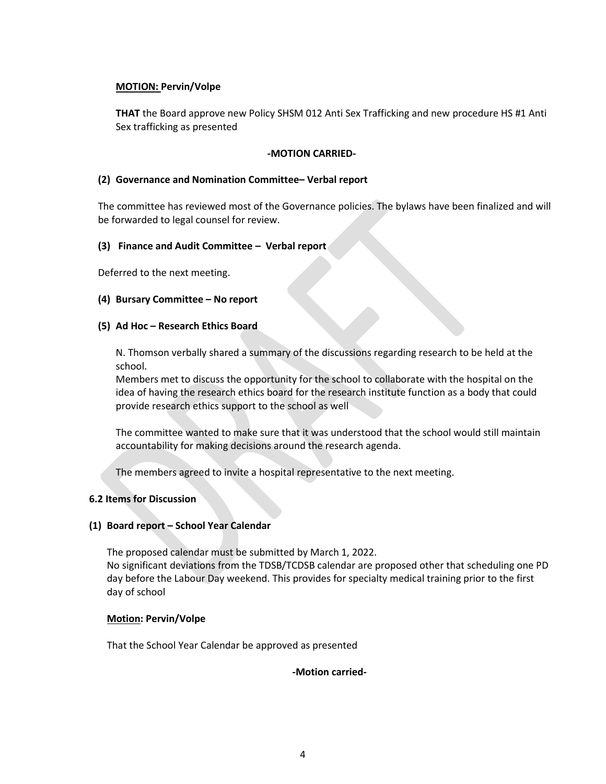### **MOTION: Pervin/Volpe**

**THAT** the Board approve new Policy SHSM 012 Anti Sex Trafficking and new procedure HS #1 Anti Sex trafficking as presented

#### **-MOTION CARRIED-**

#### **(2) Governance and Nomination Committee– Verbal report**

The committee has reviewed most of the Governance policies. The bylaws have been finalized and will be forwarded to legal counsel for review.

#### **(3) Finance and Audit Committee – Verbal report**

Deferred to the next meeting.

#### **(4) Bursary Committee – No report**

#### **(5) Ad Hoc – Research Ethics Board**

N. Thomson verbally shared a summary of the discussions regarding research to be held at the school.

Members met to discuss the opportunity for the school to collaborate with the hospital on the idea of having the research ethics board for the research institute function as a body that could provide research ethics support to the school as well

The committee wanted to make sure that it was understood that the school would still maintain accountability for making decisions around the research agenda.

The members agreed to invite a hospital representative to the next meeting.

### **6.2 Items for Discussion**

### **(1) Board report – School Year Calendar**

The proposed calendar must be submitted by March 1, 2022.

No significant deviations from the TDSB/TCDSB calendar are proposed other that scheduling one PD day before the Labour Day weekend. This provides for specialty medical training prior to the first day of school

#### **Motion: Pervin/Volpe**

That the School Year Calendar be approved as presented

#### **-Motion carried-**